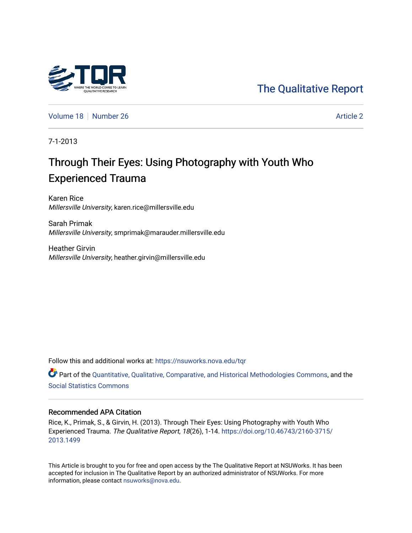# [The Qualitative Report](https://nsuworks.nova.edu/tqr)

[Volume 18](https://nsuworks.nova.edu/tqr/vol18) [Number 26](https://nsuworks.nova.edu/tqr/vol18/iss26) [Article 2](https://nsuworks.nova.edu/tqr/vol18/iss26/2) Article 2 Article 2 Article 2 Article 2

7-1-2013

# Through Their Eyes: Using Photography with Youth Who Experienced Trauma

Karen Rice Millersville University, karen.rice@millersville.edu

Sarah Primak Millersville University, smprimak@marauder.millersville.edu

Heather Girvin Millersville University, heather.girvin@millersville.edu

Follow this and additional works at: [https://nsuworks.nova.edu/tqr](https://nsuworks.nova.edu/tqr?utm_source=nsuworks.nova.edu%2Ftqr%2Fvol18%2Fiss26%2F2&utm_medium=PDF&utm_campaign=PDFCoverPages) 

Part of the [Quantitative, Qualitative, Comparative, and Historical Methodologies Commons,](http://network.bepress.com/hgg/discipline/423?utm_source=nsuworks.nova.edu%2Ftqr%2Fvol18%2Fiss26%2F2&utm_medium=PDF&utm_campaign=PDFCoverPages) and the [Social Statistics Commons](http://network.bepress.com/hgg/discipline/1275?utm_source=nsuworks.nova.edu%2Ftqr%2Fvol18%2Fiss26%2F2&utm_medium=PDF&utm_campaign=PDFCoverPages) 

#### Recommended APA Citation

Rice, K., Primak, S., & Girvin, H. (2013). Through Their Eyes: Using Photography with Youth Who Experienced Trauma. The Qualitative Report, 18(26), 1-14. [https://doi.org/10.46743/2160-3715/](https://doi.org/10.46743/2160-3715/2013.1499) [2013.1499](https://doi.org/10.46743/2160-3715/2013.1499) 

This Article is brought to you for free and open access by the The Qualitative Report at NSUWorks. It has been accepted for inclusion in The Qualitative Report by an authorized administrator of NSUWorks. For more information, please contact [nsuworks@nova.edu.](mailto:nsuworks@nova.edu)

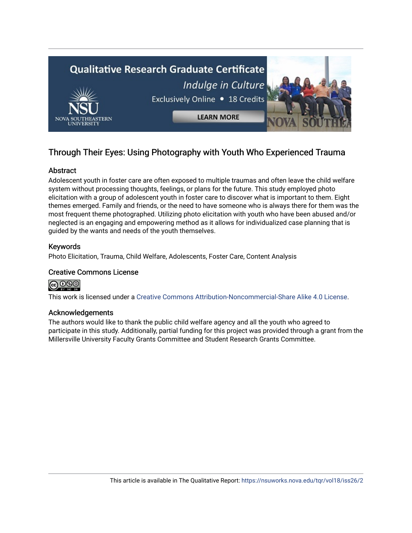

# Through Their Eyes: Using Photography with Youth Who Experienced Trauma

# Abstract

Adolescent youth in foster care are often exposed to multiple traumas and often leave the child welfare system without processing thoughts, feelings, or plans for the future. This study employed photo elicitation with a group of adolescent youth in foster care to discover what is important to them. Eight themes emerged. Family and friends, or the need to have someone who is always there for them was the most frequent theme photographed. Utilizing photo elicitation with youth who have been abused and/or neglected is an engaging and empowering method as it allows for individualized case planning that is guided by the wants and needs of the youth themselves.

# Keywords

Photo Elicitation, Trauma, Child Welfare, Adolescents, Foster Care, Content Analysis

# Creative Commons License



This work is licensed under a [Creative Commons Attribution-Noncommercial-Share Alike 4.0 License](https://creativecommons.org/licenses/by-nc-sa/4.0/).

#### Acknowledgements

The authors would like to thank the public child welfare agency and all the youth who agreed to participate in this study. Additionally, partial funding for this project was provided through a grant from the Millersville University Faculty Grants Committee and Student Research Grants Committee.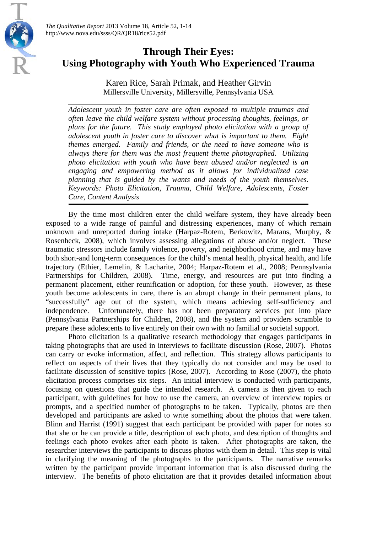

# **Through Their Eyes: Using Photography with Youth Who Experienced Trauma**

Karen Rice, Sarah Primak, and Heather Girvin Millersville University, Millersville, Pennsylvania USA

*Adolescent youth in foster care are often exposed to multiple traumas and often leave the child welfare system without processing thoughts, feelings, or plans for the future. This study employed photo elicitation with a group of adolescent youth in foster care to discover what is important to them. Eight themes emerged. Family and friends, or the need to have someone who is always there for them was the most frequent theme photographed. Utilizing photo elicitation with youth who have been abused and/or neglected is an engaging and empowering method as it allows for individualized case planning that is guided by the wants and needs of the youth themselves. Keywords: Photo Elicitation, Trauma, Child Welfare, Adolescents, Foster Care, Content Analysis*

By the time most children enter the child welfare system, they have already been exposed to a wide range of painful and distressing experiences, many of which remain unknown and unreported during intake (Harpaz-Rotem, Berkowitz, Marans, Murphy, & Rosenheck, 2008), which involves assessing allegations of abuse and/or neglect. These traumatic stressors include family violence, poverty, and neighborhood crime, and may have both short-and long-term consequences for the child's mental health, physical health, and life trajectory (Ethier, Lemelin, & Lacharite, 2004; Harpaz-Rotem et al., 2008; Pennsylvania Partnerships for Children, 2008). Time, energy, and resources are put into finding a permanent placement, either reunification or adoption, for these youth. However, as these youth become adolescents in care, there is an abrupt change in their permanent plans, to "successfully" age out of the system, which means achieving self-sufficiency and independence. Unfortunately, there has not been preparatory services put into place (Pennsylvania Partnerships for Children, 2008), and the system and providers scramble to prepare these adolescents to live entirely on their own with no familial or societal support.

Photo elicitation is a qualitative research methodology that engages participants in taking photographs that are used in interviews to facilitate discussion (Rose, 2007). Photos can carry or evoke information, affect, and reflection. This strategy allows participants to reflect on aspects of their lives that they typically do not consider and may be used to facilitate discussion of sensitive topics (Rose, 2007). According to Rose (2007), the photo elicitation process comprises six steps. An initial interview is conducted with participants, focusing on questions that guide the intended research. A camera is then given to each participant, with guidelines for how to use the camera, an overview of interview topics or prompts, and a specified number of photographs to be taken. Typically, photos are then developed and participants are asked to write something about the photos that were taken. Blinn and Harrist (1991) suggest that each participant be provided with paper for notes so that she or he can provide a title, description of each photo, and description of thoughts and feelings each photo evokes after each photo is taken. After photographs are taken, the researcher interviews the participants to discuss photos with them in detail. This step is vital in clarifying the meaning of the photographs to the participants. The narrative remarks written by the participant provide important information that is also discussed during the interview. The benefits of photo elicitation are that it provides detailed information about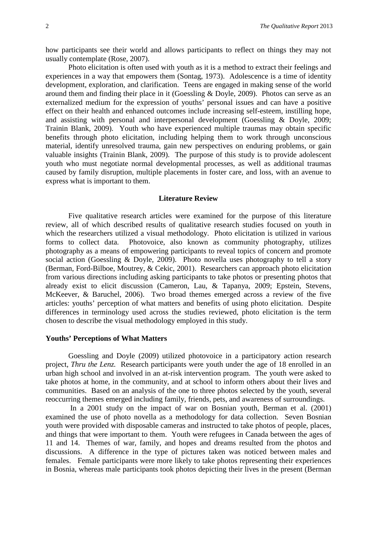how participants see their world and allows participants to reflect on things they may not usually contemplate (Rose, 2007).

Photo elicitation is often used with youth as it is a method to extract their feelings and experiences in a way that empowers them (Sontag, 1973). Adolescence is a time of identity development, exploration, and clarification. Teens are engaged in making sense of the world around them and finding their place in it (Goessling & Doyle, 2009). Photos can serve as an externalized medium for the expression of youths' personal issues and can have a positive effect on their health and enhanced outcomes include increasing self-esteem, instilling hope, and assisting with personal and interpersonal development (Goessling & Doyle, 2009; Trainin Blank, 2009). Youth who have experienced multiple traumas may obtain specific benefits through photo elicitation, including helping them to work through unconscious material, identify unresolved trauma, gain new perspectives on enduring problems, or gain valuable insights (Trainin Blank, 2009). The purpose of this study is to provide adolescent youth who must negotiate normal developmental processes, as well as additional traumas caused by family disruption, multiple placements in foster care, and loss, with an avenue to express what is important to them.

#### **Literature Review**

Five qualitative research articles were examined for the purpose of this literature review, all of which described results of qualitative research studies focused on youth in which the researchers utilized a visual methodology. Photo elicitation is utilized in various forms to collect data. Photovoice, also known as community photography, utilizes photography as a means of empowering participants to reveal topics of concern and promote social action (Goessling & Doyle, 2009). Photo novella uses photography to tell a story (Berman, Ford-Bilboe, Moutrey, & Cekic, 2001). Researchers can approach photo elicitation from various directions including asking participants to take photos or presenting photos that already exist to elicit discussion (Cameron, Lau, & Tapanya, 2009; Epstein, Stevens, McKeever, & Baruchel, 2006). Two broad themes emerged across a review of the five articles: youths' perception of what matters and benefits of using photo elicitation. Despite differences in terminology used across the studies reviewed, photo elicitation is the term chosen to describe the visual methodology employed in this study.

#### **Youths' Perceptions of What Matters**

Goessling and Doyle (2009) utilized photovoice in a participatory action research project, *Thru the Lenz.* Research participants were youth under the age of 18 enrolled in an urban high school and involved in an at-risk intervention program. The youth were asked to take photos at home, in the community, and at school to inform others about their lives and communities. Based on an analysis of the one to three photos selected by the youth, several reoccurring themes emerged including family, friends, pets, and awareness of surroundings.

In a 2001 study on the impact of war on Bosnian youth, Berman et al. (2001) examined the use of photo novella as a methodology for data collection. Seven Bosnian youth were provided with disposable cameras and instructed to take photos of people, places, and things that were important to them. Youth were refugees in Canada between the ages of 11 and 14. Themes of war, family, and hopes and dreams resulted from the photos and discussions. A difference in the type of pictures taken was noticed between males and females. Female participants were more likely to take photos representing their experiences in Bosnia, whereas male participants took photos depicting their lives in the present (Berman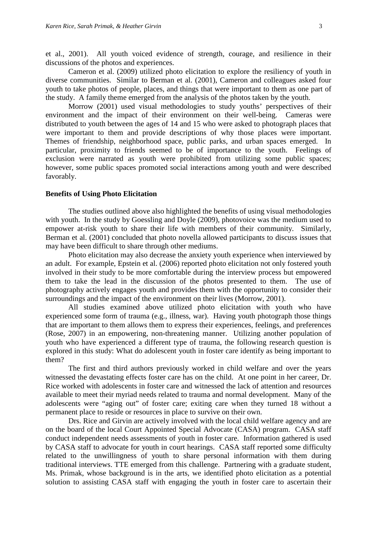et al., 2001). All youth voiced evidence of strength, courage, and resilience in their discussions of the photos and experiences.

Cameron et al. (2009) utilized photo elicitation to explore the resiliency of youth in diverse communities. Similar to Berman et al. (2001), Cameron and colleagues asked four youth to take photos of people, places, and things that were important to them as one part of the study. A family theme emerged from the analysis of the photos taken by the youth.

Morrow (2001) used visual methodologies to study youths' perspectives of their environment and the impact of their environment on their well-being. Cameras were distributed to youth between the ages of 14 and 15 who were asked to photograph places that were important to them and provide descriptions of why those places were important. Themes of friendship, neighborhood space, public parks, and urban spaces emerged. In particular, proximity to friends seemed to be of importance to the youth. Feelings of exclusion were narrated as youth were prohibited from utilizing some public spaces; however, some public spaces promoted social interactions among youth and were described favorably.

#### **Benefits of Using Photo Elicitation**

The studies outlined above also highlighted the benefits of using visual methodologies with youth. In the study by Goessling and Doyle (2009), photovoice was the medium used to empower at-risk youth to share their life with members of their community. Similarly, Berman et al. (2001) concluded that photo novella allowed participants to discuss issues that may have been difficult to share through other mediums.

Photo elicitation may also decrease the anxiety youth experience when interviewed by an adult. For example, Epstein et al. (2006) reported photo elicitation not only fostered youth involved in their study to be more comfortable during the interview process but empowered them to take the lead in the discussion of the photos presented to them. The use of photography actively engages youth and provides them with the opportunity to consider their surroundings and the impact of the environment on their lives (Morrow, 2001).

All studies examined above utilized photo elicitation with youth who have experienced some form of trauma (e.g., illness, war). Having youth photograph those things that are important to them allows them to express their experiences, feelings, and preferences (Rose, 2007) in an empowering, non-threatening manner. Utilizing another population of youth who have experienced a different type of trauma, the following research question is explored in this study: What do adolescent youth in foster care identify as being important to them?

The first and third authors previously worked in child welfare and over the years witnessed the devastating effects foster care has on the child. At one point in her career, Dr. Rice worked with adolescents in foster care and witnessed the lack of attention and resources available to meet their myriad needs related to trauma and normal development. Many of the adolescents were "aging out" of foster care; exiting care when they turned 18 without a permanent place to reside or resources in place to survive on their own.

Drs. Rice and Girvin are actively involved with the local child welfare agency and are on the board of the local Court Appointed Special Advocate (CASA) program. CASA staff conduct independent needs assessments of youth in foster care. Information gathered is used by CASA staff to advocate for youth in court hearings. CASA staff reported some difficulty related to the unwillingness of youth to share personal information with them during traditional interviews. TTE emerged from this challenge. Partnering with a graduate student, Ms. Primak, whose background is in the arts, we identified photo elicitation as a potential solution to assisting CASA staff with engaging the youth in foster care to ascertain their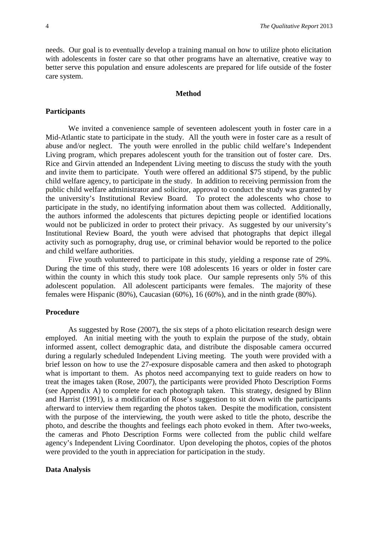needs. Our goal is to eventually develop a training manual on how to utilize photo elicitation with adolescents in foster care so that other programs have an alternative, creative way to better serve this population and ensure adolescents are prepared for life outside of the foster care system.

#### **Method**

#### **Participants**

We invited a convenience sample of seventeen adolescent youth in foster care in a Mid-Atlantic state to participate in the study. All the youth were in foster care as a result of abuse and/or neglect. The youth were enrolled in the public child welfare's Independent Living program, which prepares adolescent youth for the transition out of foster care. Drs. Rice and Girvin attended an Independent Living meeting to discuss the study with the youth and invite them to participate. Youth were offered an additional \$75 stipend, by the public child welfare agency, to participate in the study. In addition to receiving permission from the public child welfare administrator and solicitor, approval to conduct the study was granted by the university's Institutional Review Board. To protect the adolescents who chose to participate in the study, no identifying information about them was collected. Additionally, the authors informed the adolescents that pictures depicting people or identified locations would not be publicized in order to protect their privacy. As suggested by our university's Institutional Review Board, the youth were advised that photographs that depict illegal activity such as pornography, drug use, or criminal behavior would be reported to the police and child welfare authorities.

Five youth volunteered to participate in this study, yielding a response rate of 29%. During the time of this study, there were 108 adolescents 16 years or older in foster care within the county in which this study took place. Our sample represents only 5% of this adolescent population. All adolescent participants were females. The majority of these females were Hispanic (80%), Caucasian (60%), 16 (60%), and in the ninth grade (80%).

#### **Procedure**

As suggested by Rose (2007), the six steps of a photo elicitation research design were employed. An initial meeting with the youth to explain the purpose of the study, obtain informed assent, collect demographic data, and distribute the disposable camera occurred during a regularly scheduled Independent Living meeting. The youth were provided with a brief lesson on how to use the 27-exposure disposable camera and then asked to photograph what is important to them. As photos need accompanying text to guide readers on how to treat the images taken (Rose, 2007), the participants were provided Photo Description Forms (see Appendix A) to complete for each photograph taken. This strategy, designed by Blinn and Harrist (1991), is a modification of Rose's suggestion to sit down with the participants afterward to interview them regarding the photos taken. Despite the modification, consistent with the purpose of the interviewing, the youth were asked to title the photo, describe the photo, and describe the thoughts and feelings each photo evoked in them. After two-weeks, the cameras and Photo Description Forms were collected from the public child welfare agency's Independent Living Coordinator. Upon developing the photos, copies of the photos were provided to the youth in appreciation for participation in the study.

#### **Data Analysis**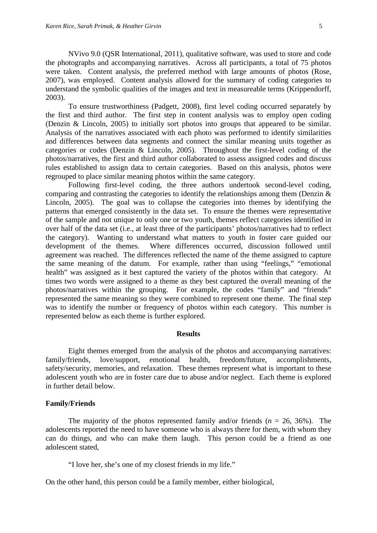NVivo 9.0 (QSR International, 2011), qualitative software, was used to store and code the photographs and accompanying narratives. Across all participants, a total of 75 photos were taken. Content analysis, the preferred method with large amounts of photos (Rose, 2007), was employed. Content analysis allowed for the summary of coding categories to understand the symbolic qualities of the images and text in measureable terms (Krippendorff, 2003).

To ensure trustworthiness (Padgett, 2008), first level coding occurred separately by the first and third author. The first step in content analysis was to employ open coding (Denzin & Lincoln, 2005) to initially sort photos into groups that appeared to be similar. Analysis of the narratives associated with each photo was performed to identify similarities and differences between data segments and connect the similar meaning units together as categories or codes (Denzin & Lincoln, 2005). Throughout the first-level coding of the photos/narratives, the first and third author collaborated to assess assigned codes and discuss rules established to assign data to certain categories. Based on this analysis, photos were regrouped to place similar meaning photos within the same category.

Following first-level coding, the three authors undertook second-level coding, comparing and contrasting the categories to identify the relationships among them (Denzin & Lincoln, 2005). The goal was to collapse the categories into themes by identifying the patterns that emerged consistently in the data set. To ensure the themes were representative of the sample and not unique to only one or two youth, themes reflect categories identified in over half of the data set (i.e., at least three of the participants' photos/narratives had to reflect the category). Wanting to understand what matters to youth in foster care guided our development of the themes. Where differences occurred, discussion followed until agreement was reached. The differences reflected the name of the theme assigned to capture the same meaning of the datum. For example, rather than using "feelings," "emotional health" was assigned as it best captured the variety of the photos within that category. At times two words were assigned to a theme as they best captured the overall meaning of the photos/narratives within the grouping. For example, the codes "family" and "friends" represented the same meaning so they were combined to represent one theme. The final step was to identify the number or frequency of photos within each category. This number is represented below as each theme is further explored.

#### **Results**

Eight themes emerged from the analysis of the photos and accompanying narratives: family/friends, love/support, emotional health, freedom/future, accomplishments, safety/security, memories, and relaxation. These themes represent what is important to these adolescent youth who are in foster care due to abuse and/or neglect. Each theme is explored in further detail below.

#### **Family/Friends**

The majority of the photos represented family and/or friends (*n* = 26, 36%). The adolescents reported the need to have someone who is always there for them, with whom they can do things, and who can make them laugh. This person could be a friend as one adolescent stated,

"I love her, she's one of my closest friends in my life."

On the other hand, this person could be a family member, either biological,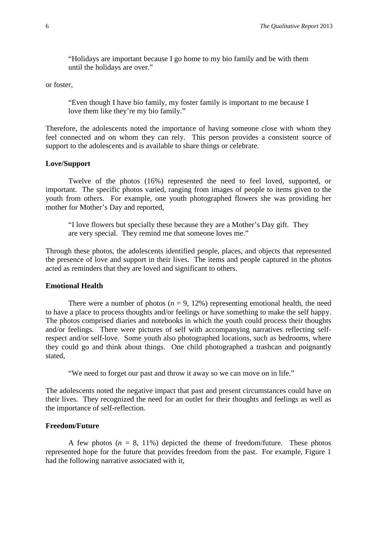"Holidays are important because I go home to my bio family and be with them until the holidays are over."

or foster,

"Even though I have bio family, my foster family is important to me because I love them like they're my bio family."

Therefore, the adolescents noted the importance of having someone close with whom they feel connected and on whom they can rely. This person provides a consistent source of support to the adolescents and is available to share things or celebrate.

#### **Love/Support**

Twelve of the photos (16%) represented the need to feel loved, supported, or important. The specific photos varied, ranging from images of people to items given to the youth from others. For example, one youth photographed flowers she was providing her mother for Mother's Day and reported,

"I love flowers but specially these because they are a Mother's Day gift. They are very special. They remind me that someone loves me."

Through these photos, the adolescents identified people, places, and objects that represented the presence of love and support in their lives. The items and people captured in the photos acted as reminders that they are loved and significant to others.

#### **Emotional Health**

There were a number of photos ( $n = 9, 12\%$ ) representing emotional health, the need to have a place to process thoughts and/or feelings or have something to make the self happy. The photos comprised diaries and notebooks in which the youth could process their thoughts and/or feelings. There were pictures of self with accompanying narratives reflecting selfrespect and/or self-love. Some youth also photographed locations, such as bedrooms, where they could go and think about things. One child photographed a trashcan and poignantly stated,

"We need to forget our past and throw it away so we can move on in life."

The adolescents noted the negative impact that past and present circumstances could have on their lives. They recognized the need for an outlet for their thoughts and feelings as well as the importance of self-reflection.

### **Freedom/Future**

A few photos  $(n = 8, 11\%)$  depicted the theme of freedom/future. These photos represented hope for the future that provides freedom from the past. For example, Figure 1 had the following narrative associated with it,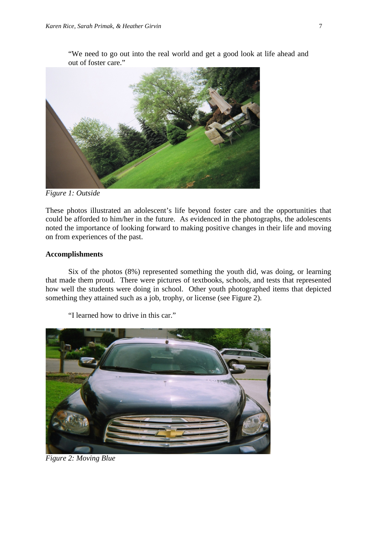"We need to go out into the real world and get a good look at life ahead and out of foster care."



*Figure 1: Outside*

These photos illustrated an adolescent's life beyond foster care and the opportunities that could be afforded to him/her in the future. As evidenced in the photographs, the adolescents noted the importance of looking forward to making positive changes in their life and moving on from experiences of the past.

#### **Accomplishments**

Six of the photos (8%) represented something the youth did, was doing, or learning that made them proud. There were pictures of textbooks, schools, and tests that represented how well the students were doing in school. Other youth photographed items that depicted something they attained such as a job, trophy, or license (see Figure 2).



"I learned how to drive in this car."

*Figure 2: Moving Blue*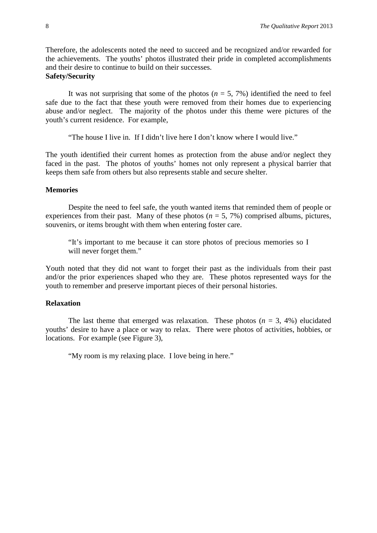Therefore, the adolescents noted the need to succeed and be recognized and/or rewarded for the achievements. The youths' photos illustrated their pride in completed accomplishments and their desire to continue to build on their successes. **Safety/Security**

It was not surprising that some of the photos  $(n = 5, 7\%)$  identified the need to feel safe due to the fact that these youth were removed from their homes due to experiencing abuse and/or neglect. The majority of the photos under this theme were pictures of the youth's current residence. For example,

"The house I live in. If I didn't live here I don't know where I would live."

The youth identified their current homes as protection from the abuse and/or neglect they faced in the past. The photos of youths' homes not only represent a physical barrier that keeps them safe from others but also represents stable and secure shelter.

#### **Memories**

Despite the need to feel safe, the youth wanted items that reminded them of people or experiences from their past. Many of these photos  $(n = 5, 7\%)$  comprised albums, pictures, souvenirs, or items brought with them when entering foster care.

"It's important to me because it can store photos of precious memories so I will never forget them."

Youth noted that they did not want to forget their past as the individuals from their past and/or the prior experiences shaped who they are. These photos represented ways for the youth to remember and preserve important pieces of their personal histories.

# **Relaxation**

The last theme that emerged was relaxation. These photos  $(n = 3, 4\%)$  elucidated youths' desire to have a place or way to relax. There were photos of activities, hobbies, or locations. For example (see Figure 3),

"My room is my relaxing place. I love being in here."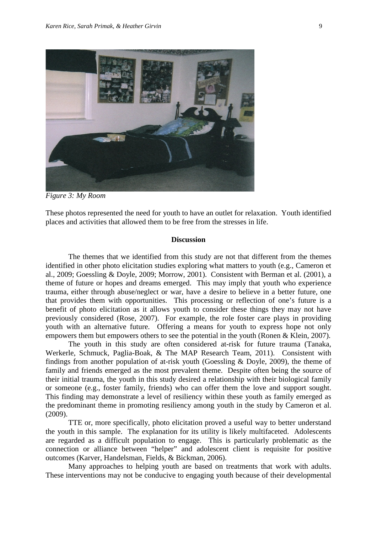

*Figure 3: My Room*

These photos represented the need for youth to have an outlet for relaxation. Youth identified places and activities that allowed them to be free from the stresses in life.

#### **Discussion**

The themes that we identified from this study are not that different from the themes identified in other photo elicitation studies exploring what matters to youth (e.g., Cameron et al., 2009; Goessling & Doyle, 2009; Morrow, 2001). Consistent with Berman et al. (2001), a theme of future or hopes and dreams emerged. This may imply that youth who experience trauma, either through abuse/neglect or war, have a desire to believe in a better future, one that provides them with opportunities. This processing or reflection of one's future is a benefit of photo elicitation as it allows youth to consider these things they may not have previously considered (Rose, 2007). For example, the role foster care plays in providing youth with an alternative future. Offering a means for youth to express hope not only empowers them but empowers others to see the potential in the youth (Ronen & Klein, 2007).

The youth in this study are often considered at-risk for future trauma (Tanaka, Werkerle, Schmuck, Paglia-Boak, & The MAP Research Team, 2011). Consistent with findings from another population of at-risk youth (Goessling & Doyle, 2009), the theme of family and friends emerged as the most prevalent theme. Despite often being the source of their initial trauma, the youth in this study desired a relationship with their biological family or someone (e.g., foster family, friends) who can offer them the love and support sought. This finding may demonstrate a level of resiliency within these youth as family emerged as the predominant theme in promoting resiliency among youth in the study by Cameron et al. (2009).

TTE or, more specifically, photo elicitation proved a useful way to better understand the youth in this sample. The explanation for its utility is likely multifaceted. Adolescents are regarded as a difficult population to engage. This is particularly problematic as the connection or alliance between "helper" and adolescent client is requisite for positive outcomes (Karver, Handelsman, Fields, & Bickman, 2006).

Many approaches to helping youth are based on treatments that work with adults. These interventions may not be conducive to engaging youth because of their developmental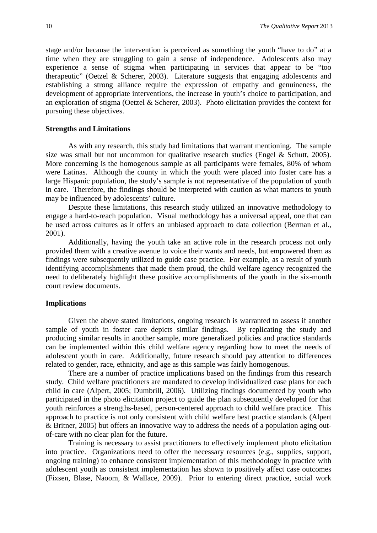stage and/or because the intervention is perceived as something the youth "have to do" at a time when they are struggling to gain a sense of independence. Adolescents also may experience a sense of stigma when participating in services that appear to be "too therapeutic" (Oetzel & Scherer, 2003). Literature suggests that engaging adolescents and establishing a strong alliance require the expression of empathy and genuineness, the development of appropriate interventions, the increase in youth's choice to participation, and an exploration of stigma (Oetzel & Scherer, 2003). Photo elicitation provides the context for pursuing these objectives.

# **Strengths and Limitations**

As with any research, this study had limitations that warrant mentioning. The sample size was small but not uncommon for qualitative research studies (Engel & Schutt, 2005). More concerning is the homogenous sample as all participants were females, 80% of whom were Latinas. Although the county in which the youth were placed into foster care has a large Hispanic population, the study's sample is not representative of the population of youth in care. Therefore, the findings should be interpreted with caution as what matters to youth may be influenced by adolescents' culture.

Despite these limitations, this research study utilized an innovative methodology to engage a hard-to-reach population. Visual methodology has a universal appeal, one that can be used across cultures as it offers an unbiased approach to data collection (Berman et al., 2001).

Additionally, having the youth take an active role in the research process not only provided them with a creative avenue to voice their wants and needs, but empowered them as findings were subsequently utilized to guide case practice. For example, as a result of youth identifying accomplishments that made them proud, the child welfare agency recognized the need to deliberately highlight these positive accomplishments of the youth in the six-month court review documents.

#### **Implications**

Given the above stated limitations, ongoing research is warranted to assess if another sample of youth in foster care depicts similar findings. By replicating the study and producing similar results in another sample, more generalized policies and practice standards can be implemented within this child welfare agency regarding how to meet the needs of adolescent youth in care. Additionally, future research should pay attention to differences related to gender, race, ethnicity, and age as this sample was fairly homogenous.

There are a number of practice implications based on the findings from this research study. Child welfare practitioners are mandated to develop individualized case plans for each child in care (Alpert, 2005; Dumbrill, 2006). Utilizing findings documented by youth who participated in the photo elicitation project to guide the plan subsequently developed for that youth reinforces a strengths-based, person-centered approach to child welfare practice. This approach to practice is not only consistent with child welfare best practice standards (Alpert & Britner, 2005) but offers an innovative way to address the needs of a population aging outof-care with no clear plan for the future.

Training is necessary to assist practitioners to effectively implement photo elicitation into practice. Organizations need to offer the necessary resources (e.g., supplies, support, ongoing training) to enhance consistent implementation of this methodology in practice with adolescent youth as consistent implementation has shown to positively affect case outcomes (Fixsen, Blase, Naoom, & Wallace, 2009). Prior to entering direct practice, social work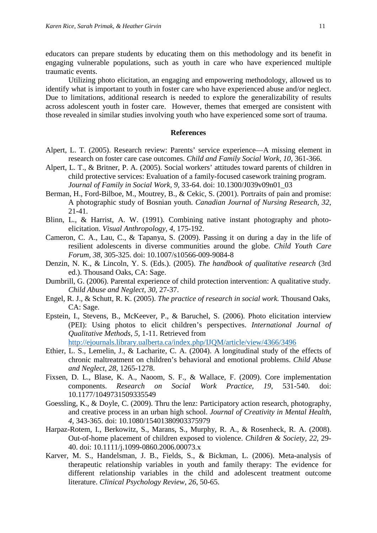educators can prepare students by educating them on this methodology and its benefit in engaging vulnerable populations, such as youth in care who have experienced multiple traumatic events.

Utilizing photo elicitation, an engaging and empowering methodology, allowed us to identify what is important to youth in foster care who have experienced abuse and/or neglect. Due to limitations, additional research is needed to explore the generalizability of results across adolescent youth in foster care. However, themes that emerged are consistent with those revealed in similar studies involving youth who have experienced some sort of trauma.

#### **References**

- Alpert, L. T. (2005). Research review: Parents' service experience—A missing element in research on foster care case outcomes. *Child and Family Social Work, 10,* 361-366.
- Alpert, L. T., & Britner, P. A. (2005). Social workers' attitudes toward parents of children in child protective services: Evaluation of a family-focused casework training program. *Journal of Family in Social Work, 9*, 33-64. doi: 10.1300/J039v09n01\_03
- Berman, H., Ford-Bilboe, M., Moutrey, B., & Cekic, S. (2001). Portraits of pain and promise: A photographic study of Bosnian youth. *Canadian Journal of Nursing Research, 32*, 21-41.
- Blinn, L., & Harrist, A. W. (1991). Combining native instant photography and photoelicitation. *Visual Anthropology, 4*, 175-192.
- Cameron, C. A., Lau, C., & Tapanya, S. (2009). Passing it on during a day in the life of resilient adolescents in diverse communities around the globe. *Child Youth Care Forum, 38*, 305-325. doi: 10.1007/s10566-009-9084-8
- Denzin, N. K., & Lincoln, Y. S. (Eds.). (2005). *The handbook of qualitative research* (3rd ed.). Thousand Oaks, CA: Sage.
- Dumbrill, G. (2006). Parental experience of child protection intervention: A qualitative study. *Child Abuse and Neglect, 30,* 27-37.
- Engel, R. J., & Schutt, R. K. (2005). *The practice of research in social work.* Thousand Oaks, CA: Sage.
- Epstein, I., Stevens, B., McKeever, P., & Baruchel, S. (2006). Photo elicitation interview (PEI): Using photos to elicit children's perspectives. *International Journal of Qualitative Methods, 5*, 1-11. Retrieved from <http://ejournals.library.ualberta.ca/index.php/IJQM/article/view/4366/3496>
- Ethier, L. S., Lemelin, J., & Lacharite, C. A. (2004). A longitudinal study of the effects of chronic maltreatment on children's behavioral and emotional problems. *Child Abuse and Neglect, 28,* 1265-1278.
- Fixsen, D. L., Blase, K. A., Naoom, S. F., & Wallace, F. (2009). Core implementation components. *Research on Social Work Practice, 19*, 531-540. doi: 10.1177/1049731509335549
- Goessling, K., & Doyle, C. (2009). Thru the lenz: Participatory action research, photography, and creative process in an urban high school. *Journal of Creativity in Mental Health, 4*, 343-365. doi: 10.1080/15401380903375979
- Harpaz-Rotem, I., Berkowitz, S., Marans, S., Murphy, R. A., & Rosenheck, R. A. (2008). Out-of-home placement of children exposed to violence. *Children & Society, 22*, 29- 40. doi: 10.1111/j.1099-0860.2006.00073.x
- Karver, M. S., Handelsman, J. B., Fields, S., & Bickman, L. (2006). Meta-analysis of therapeutic relationship variables in youth and family therapy: The evidence for different relationship variables in the child and adolescent treatment outcome literature. *Clinical Psychology Review, 26*, 50-65.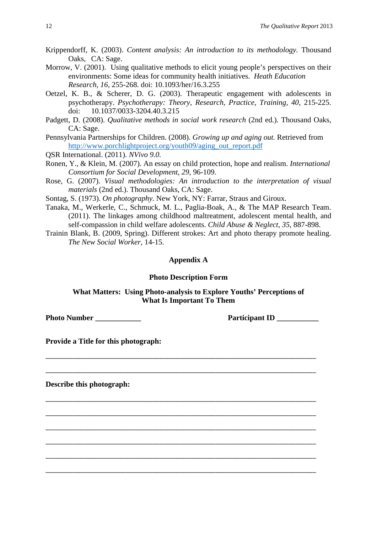- Krippendorff, K. (2003). *Content analysis: An introduction to its methodology.* Thousand Oaks, CA: Sage.
- Morrow, V. (2001). Using qualitative methods to elicit young people's perspectives on their environments: Some ideas for community health initiatives. *Heath Education Research, 16*, 255-268. doi: 10.1093/her/16.3.255
- Oetzel, K. B., & Scherer, D. G. (2003). Therapeutic engagement with adolescents in psychotherapy. *Psychotherapy: Theory, Research, Practice, Training, 40*, 215-225. doi: 10.1037/0033-3204.40.3.215
- Padgett, D. (2008). *Qualitative methods in social work research* (2nd ed.)*.* Thousand Oaks, CA: Sage.
- Pennsylvania Partnerships for Children. (2008). *Growing up and aging out.* Retrieved from [http://www.porchlightproject.org/youth09/aging\\_out\\_report.pdf](http://www.porchlightproject.org/youth09/aging_out_report.pdf)
- QSR International. (2011). *NVivo 9.0.*
- Ronen, Y., & Klein, M. (2007). An essay on child protection, hope and realism. *International Consortium for Social Development, 29*, 96-109.
- Rose, G. (2007). *Visual methodologies: An introduction to the interpretation of visual materials* (2nd ed.). Thousand Oaks, CA: Sage.
- Sontag, S. (1973). *On photography.* New York, NY: Farrar, Straus and Giroux.
- Tanaka, M., Werkerle, C., Schmuck, M. L., Paglia-Boak, A., & The MAP Research Team. (2011). The linkages among childhood maltreatment, adolescent mental health, and self-compassion in child welfare adolescents. *Child Abuse & Neglect, 35*, 887-898.
- Trainin Blank, B. (2009, Spring). Different strokes: Art and photo therapy promote healing. *The New Social Worker,* 14-15.

# **Appendix A**

#### **Photo Description Form**

# **What Matters: Using Photo-analysis to Explore Youths' Perceptions of What Is Important To Them**

\_\_\_\_\_\_\_\_\_\_\_\_\_\_\_\_\_\_\_\_\_\_\_\_\_\_\_\_\_\_\_\_\_\_\_\_\_\_\_\_\_\_\_\_\_\_\_\_\_\_\_\_\_\_\_\_\_\_\_\_\_\_\_\_\_\_\_\_\_\_\_\_\_\_\_\_\_\_

\_\_\_\_\_\_\_\_\_\_\_\_\_\_\_\_\_\_\_\_\_\_\_\_\_\_\_\_\_\_\_\_\_\_\_\_\_\_\_\_\_\_\_\_\_\_\_\_\_\_\_\_\_\_\_\_\_\_\_\_\_\_\_\_\_\_\_\_\_\_\_\_\_\_\_\_\_\_

\_\_\_\_\_\_\_\_\_\_\_\_\_\_\_\_\_\_\_\_\_\_\_\_\_\_\_\_\_\_\_\_\_\_\_\_\_\_\_\_\_\_\_\_\_\_\_\_\_\_\_\_\_\_\_\_\_\_\_\_\_\_\_\_\_\_\_\_\_\_\_\_\_\_\_\_\_\_

\_\_\_\_\_\_\_\_\_\_\_\_\_\_\_\_\_\_\_\_\_\_\_\_\_\_\_\_\_\_\_\_\_\_\_\_\_\_\_\_\_\_\_\_\_\_\_\_\_\_\_\_\_\_\_\_\_\_\_\_\_\_\_\_\_\_\_\_\_\_\_\_\_\_\_\_\_\_

\_\_\_\_\_\_\_\_\_\_\_\_\_\_\_\_\_\_\_\_\_\_\_\_\_\_\_\_\_\_\_\_\_\_\_\_\_\_\_\_\_\_\_\_\_\_\_\_\_\_\_\_\_\_\_\_\_\_\_\_\_\_\_\_\_\_\_\_\_\_\_\_\_\_\_\_\_\_

\_\_\_\_\_\_\_\_\_\_\_\_\_\_\_\_\_\_\_\_\_\_\_\_\_\_\_\_\_\_\_\_\_\_\_\_\_\_\_\_\_\_\_\_\_\_\_\_\_\_\_\_\_\_\_\_\_\_\_\_\_\_\_\_\_\_\_\_\_\_\_\_\_\_\_\_\_\_

\_\_\_\_\_\_\_\_\_\_\_\_\_\_\_\_\_\_\_\_\_\_\_\_\_\_\_\_\_\_\_\_\_\_\_\_\_\_\_\_\_\_\_\_\_\_\_\_\_\_\_\_\_\_\_\_\_\_\_\_\_\_\_\_\_\_\_\_\_\_\_\_\_\_\_\_\_\_

\_\_\_\_\_\_\_\_\_\_\_\_\_\_\_\_\_\_\_\_\_\_\_\_\_\_\_\_\_\_\_\_\_\_\_\_\_\_\_\_\_\_\_\_\_\_\_\_\_\_\_\_\_\_\_\_\_\_\_\_\_\_\_\_\_\_\_\_\_\_\_\_\_\_\_\_\_\_

**Photo Number \_\_\_\_\_\_\_\_\_\_\_\_ Participant ID \_\_\_\_\_\_\_\_\_\_\_**

**Provide a Title for this photograph:** 

**Describe this photograph:**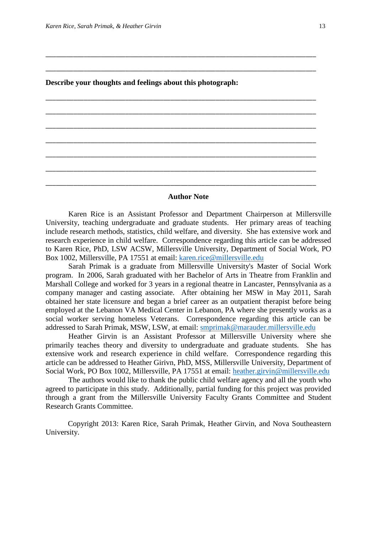# **Describe your thoughts and feelings about this photograph:**

**Author Note**

\_\_\_\_\_\_\_\_\_\_\_\_\_\_\_\_\_\_\_\_\_\_\_\_\_\_\_\_\_\_\_\_\_\_\_\_\_\_\_\_\_\_\_\_\_\_\_\_\_\_\_\_\_\_\_\_\_\_\_\_\_\_\_\_\_\_\_\_\_\_\_\_\_\_\_\_\_\_

\_\_\_\_\_\_\_\_\_\_\_\_\_\_\_\_\_\_\_\_\_\_\_\_\_\_\_\_\_\_\_\_\_\_\_\_\_\_\_\_\_\_\_\_\_\_\_\_\_\_\_\_\_\_\_\_\_\_\_\_\_\_\_\_\_\_\_\_\_\_\_\_\_\_\_\_\_\_

\_\_\_\_\_\_\_\_\_\_\_\_\_\_\_\_\_\_\_\_\_\_\_\_\_\_\_\_\_\_\_\_\_\_\_\_\_\_\_\_\_\_\_\_\_\_\_\_\_\_\_\_\_\_\_\_\_\_\_\_\_\_\_\_\_\_\_\_\_\_\_\_\_\_\_\_\_\_

\_\_\_\_\_\_\_\_\_\_\_\_\_\_\_\_\_\_\_\_\_\_\_\_\_\_\_\_\_\_\_\_\_\_\_\_\_\_\_\_\_\_\_\_\_\_\_\_\_\_\_\_\_\_\_\_\_\_\_\_\_\_\_\_\_\_\_\_\_\_\_\_\_\_\_\_\_\_

\_\_\_\_\_\_\_\_\_\_\_\_\_\_\_\_\_\_\_\_\_\_\_\_\_\_\_\_\_\_\_\_\_\_\_\_\_\_\_\_\_\_\_\_\_\_\_\_\_\_\_\_\_\_\_\_\_\_\_\_\_\_\_\_\_\_\_\_\_\_\_\_\_\_\_\_\_\_

\_\_\_\_\_\_\_\_\_\_\_\_\_\_\_\_\_\_\_\_\_\_\_\_\_\_\_\_\_\_\_\_\_\_\_\_\_\_\_\_\_\_\_\_\_\_\_\_\_\_\_\_\_\_\_\_\_\_\_\_\_\_\_\_\_\_\_\_\_\_\_\_\_\_\_\_\_\_

\_\_\_\_\_\_\_\_\_\_\_\_\_\_\_\_\_\_\_\_\_\_\_\_\_\_\_\_\_\_\_\_\_\_\_\_\_\_\_\_\_\_\_\_\_\_\_\_\_\_\_\_\_\_\_\_\_\_\_\_\_\_\_\_\_\_\_\_\_\_\_\_\_\_\_\_\_\_

\_\_\_\_\_\_\_\_\_\_\_\_\_\_\_\_\_\_\_\_\_\_\_\_\_\_\_\_\_\_\_\_\_\_\_\_\_\_\_\_\_\_\_\_\_\_\_\_\_\_\_\_\_\_\_\_\_\_\_\_\_\_\_\_\_\_\_\_\_\_\_\_\_\_\_\_\_\_

\_\_\_\_\_\_\_\_\_\_\_\_\_\_\_\_\_\_\_\_\_\_\_\_\_\_\_\_\_\_\_\_\_\_\_\_\_\_\_\_\_\_\_\_\_\_\_\_\_\_\_\_\_\_\_\_\_\_\_\_\_\_\_\_\_\_\_\_\_\_\_\_\_\_\_\_\_\_

Karen Rice is an Assistant Professor and Department Chairperson at Millersville University, teaching undergraduate and graduate students. Her primary areas of teaching include research methods, statistics, child welfare, and diversity. She has extensive work and research experience in child welfare. Correspondence regarding this article can be addressed to Karen Rice, PhD, LSW ACSW, Millersville University, Department of Social Work, PO Box 1002, Millersville, PA 17551 at email: [karen.rice@millersville.edu](mailto:karen.rice@millersville.edu)

Sarah Primak is a graduate from Millersville University's Master of Social Work program. In 2006, Sarah graduated with her Bachelor of Arts in Theatre from Franklin and Marshall College and worked for 3 years in a regional theatre in Lancaster, Pennsylvania as a company manager and casting associate. After obtaining her MSW in May 2011, Sarah obtained her state licensure and began a brief career as an outpatient therapist before being employed at the Lebanon VA Medical Center in Lebanon, PA where she presently works as a social worker serving homeless Veterans. Correspondence regarding this article can be addressed to Sarah Primak, MSW, LSW, at email: [smprimak@marauder.millersville.edu](mailto:smprimak@marauder.millersville.edu)

Heather Girvin is an Assistant Professor at Millersville University where she primarily teaches theory and diversity to undergraduate and graduate students. She has extensive work and research experience in child welfare. Correspondence regarding this article can be addressed to Heather Girivn, PhD, MSS, Millersville University, Department of Social Work, PO Box 1002, Millersville, PA 17551 at email: [heather.girvin@millersville.edu](mailto:heather.girvin@millersville.edu)

The authors would like to thank the public child welfare agency and all the youth who agreed to participate in this study. Additionally, partial funding for this project was provided through a grant from the Millersville University Faculty Grants Committee and Student Research Grants Committee.

Copyright 2013: Karen Rice, Sarah Primak, Heather Girvin, and Nova Southeastern University.